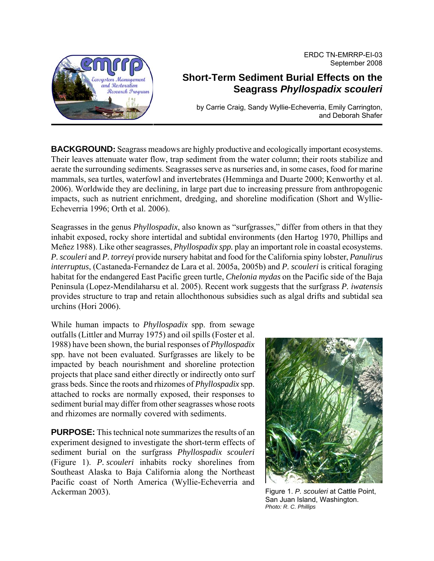ERDC TN-EMRRP-EI-03 September 2008



## **Short-Term Sediment Burial Effects on the Seagrass** *Phyllospadix scouleri*

by Carrie Craig, Sandy Wyllie-Echeverria, Emily Carrington, and Deborah Shafer

**BACKGROUND:** Seagrass meadows are highly productive and ecologically important ecosystems. Their leaves attenuate water flow, trap sediment from the water column; their roots stabilize and aerate the surrounding sediments. Seagrasses serve as nurseries and, in some cases, food for marine mammals, sea turtles, waterfowl and invertebrates (Hemminga and Duarte 2000; Kenworthy et al. 2006). Worldwide they are declining, in large part due to increasing pressure from anthropogenic impacts, such as nutrient enrichment, dredging, and shoreline modification (Short and Wyllie-Echeverria 1996; Orth et al. 2006).

Seagrasses in the genus *Phyllospadix*, also known as "surfgrasses," differ from others in that they inhabit exposed, rocky shore intertidal and subtidal environments (den Hartog 1970, Phillips and Meñez 1988). Like other seagrasses, *Phyllospadix spp.* play an important role in coastal ecosystems. *P. scouleri* and *P. torreyi* provide nursery habitat and food for the California spiny lobster, *Panulirus interruptus*, (Castaneda-Fernandez de Lara et al. 2005a, 2005b) and *P. scouleri* is critical foraging habitat for the endangered East Pacific green turtle, *Chelonia mydas* on the Pacific side of the Baja Peninsula (Lopez-Mendilaharsu et al. 2005). Recent work suggests that the surfgrass *P. iwatensis*  provides structure to trap and retain allochthonous subsidies such as algal drifts and subtidal sea urchins (Hori 2006).

While human impacts to *Phyllospadix* spp. from sewage outfalls (Littler and Murray 1975) and oil spills (Foster et al. 1988) have been shown, the burial responses of *Phyllospadix* spp. have not been evaluated. Surfgrasses are likely to be impacted by beach nourishment and shoreline protection projects that place sand either directly or indirectly onto surf grass beds. Since the roots and rhizomes of *Phyllospadix* spp. attached to rocks are normally exposed, their responses to sediment burial may differ from other seagrasses whose roots and rhizomes are normally covered with sediments.

**PURPOSE:** This technical note summarizes the results of an experiment designed to investigate the short-term effects of sediment burial on the surfgrass *Phyllospadix scouleri*  (Figure 1). *P. scouleri* inhabits rocky shorelines from Southeast Alaska to Baja California along the Northeast Pacific coast of North America (Wyllie-Echeverria and Ackerman 2003).



Figure 1. *P. scouleri* at Cattle Point, San Juan Island, Washington. *Photo: R. C. Phillips*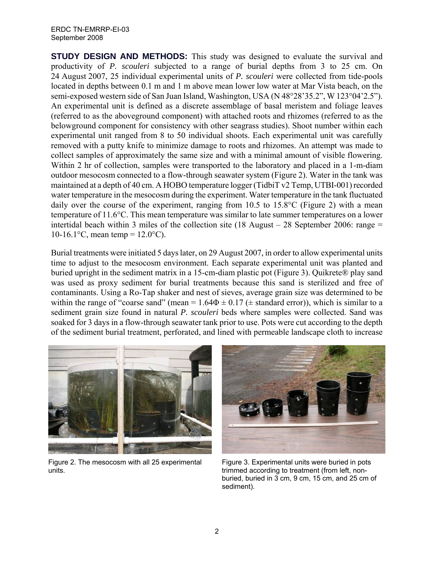## ERDC TN-EMRRP-EI-03 September 2008

**STUDY DESIGN AND METHODS:** This study was designed to evaluate the survival and productivity of *P. scouleri* subjected to a range of burial depths from 3 to 25 cm. On 24 August 2007, 25 individual experimental units of *P. scouleri* were collected from tide-pools located in depths between 0.1 m and 1 m above mean lower low water at Mar Vista beach, on the semi-exposed western side of San Juan Island, Washington, USA (N 48°28'35.2", W 123°04'2.5"). An experimental unit is defined as a discrete assemblage of basal meristem and foliage leaves (referred to as the aboveground component) with attached roots and rhizomes (referred to as the belowground component for consistency with other seagrass studies). Shoot number within each experimental unit ranged from 8 to 50 individual shoots. Each experimental unit was carefully removed with a putty knife to minimize damage to roots and rhizomes. An attempt was made to collect samples of approximately the same size and with a minimal amount of visible flowering. Within 2 hr of collection, samples were transported to the laboratory and placed in a 1-m-diam outdoor mesocosm connected to a flow-through seawater system (Figure 2). Water in the tank was maintained at a depth of 40 cm. A HOBO temperature logger (TidbiT v2 Temp, UTBI-001) recorded water temperature in the mesocosm during the experiment. Water temperature in the tank fluctuated daily over the course of the experiment, ranging from 10.5 to 15.8°C (Figure 2) with a mean temperature of 11.6°C. This mean temperature was similar to late summer temperatures on a lower intertidal beach within 3 miles of the collection site (18 August – 28 September 2006: range = 10-16.1°C, mean temp =  $12.0$ °C).

Burial treatments were initiated 5 days later, on 29 August 2007, in order to allow experimental units time to adjust to the mesocosm environment. Each separate experimental unit was planted and buried upright in the sediment matrix in a 15-cm-diam plastic pot (Figure 3). Quikrete® play sand was used as proxy sediment for burial treatments because this sand is sterilized and free of contaminants. Using a Ro-Tap shaker and nest of sieves, average grain size was determined to be within the range of "coarse sand" (mean =  $1.64\Phi \pm 0.17$  ( $\pm$  standard error)), which is similar to a sediment grain size found in natural *P. scouleri* beds where samples were collected. Sand was soaked for 3 days in a flow-through seawater tank prior to use. Pots were cut according to the depth of the sediment burial treatment, perforated, and lined with permeable landscape cloth to increase



Figure 2. The mesocosm with all 25 experimental units.



Figure 3. Experimental units were buried in pots trimmed according to treatment (from left, nonburied, buried in 3 cm, 9 cm, 15 cm, and 25 cm of sediment).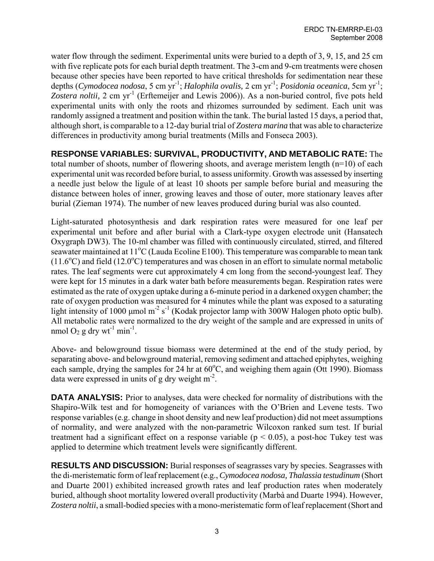water flow through the sediment. Experimental units were buried to a depth of 3, 9, 15, and 25 cm with five replicate pots for each burial depth treatment. The 3-cm and 9-cm treatments were chosen because other species have been reported to have critical thresholds for sedimentation near these depths (*Cymodocea nodosa*, 5 cm yr-1; *Halophila ovalis,* 2 cm yr-1; *Posidonia oceanica*, 5cm yr-1; Zostera noltii, 2 cm yr<sup>-1</sup> (Erftemeijer and Lewis 2006)). As a non-buried control, five pots held experimental units with only the roots and rhizomes surrounded by sediment. Each unit was randomly assigned a treatment and position within the tank. The burial lasted 15 days, a period that, although short, is comparable to a 12-day burial trial of *Zostera marina* that was able to characterize differences in productivity among burial treatments (Mills and Fonseca 2003).

## **RESPONSE VARIABLES: SURVIVAL, PRODUCTIVITY, AND METABOLIC RATE:** The total number of shoots, number of flowering shoots, and average meristem length (n=10) of each experimental unit was recorded before burial, to assess uniformity. Growth was assessed by inserting a needle just below the ligule of at least 10 shoots per sample before burial and measuring the distance between holes of inner, growing leaves and those of outer, more stationary leaves after burial (Zieman 1974). The number of new leaves produced during burial was also counted.

Light-saturated photosynthesis and dark respiration rates were measured for one leaf per experimental unit before and after burial with a Clark-type oxygen electrode unit (Hansatech Oxygraph DW3). The 10-ml chamber was filled with continuously circulated, stirred, and filtered seawater maintained at 11<sup>o</sup>C (Lauda Ecoline E100). This temperature was comparable to mean tank  $(11.6\textdegree C)$  and field  $(12.0\textdegree C)$  temperatures and was chosen in an effort to simulate normal metabolic rates. The leaf segments were cut approximately 4 cm long from the second-youngest leaf. They were kept for 15 minutes in a dark water bath before measurements began. Respiration rates were estimated as the rate of oxygen uptake during a 6-minute period in a darkened oxygen chamber; the rate of oxygen production was measured for 4 minutes while the plant was exposed to a saturating light intensity of 1000  $\mu$ mol m<sup>-2</sup> s<sup>-1</sup> (Kodak projector lamp with 300W Halogen photo optic bulb). All metabolic rates were normalized to the dry weight of the sample and are expressed in units of nmol  $O_2$  g dry wt<sup>-1</sup> min<sup>-1</sup>.

Above- and belowground tissue biomass were determined at the end of the study period, by separating above- and belowground material, removing sediment and attached epiphytes, weighing each sample, drying the samples for 24 hr at  $60^{\circ}$ C, and weighing them again (Ott 1990). Biomass data were expressed in units of g dry weight  $m<sup>2</sup>$ .

**DATA ANALYSIS:** Prior to analyses, data were checked for normality of distributions with the Shapiro-Wilk test and for homogeneity of variances with the O'Brien and Levene tests. Two response variables (e.g. change in shoot density and new leaf production) did not meet assumptions of normality, and were analyzed with the non-parametric Wilcoxon ranked sum test. If burial treatment had a significant effect on a response variable ( $p < 0.05$ ), a post-hoc Tukey test was applied to determine which treatment levels were significantly different.

**RESULTS AND DISCUSSION:** Burial responses of seagrasses vary by species. Seagrasses with the di-meristematic form of leaf replacement (e.g., *Cymodocea nodosa, Thalassia testudinum* (Short and Duarte 2001) exhibited increased growth rates and leaf production rates when moderately buried, although shoot mortality lowered overall productivity (Marbà and Duarte 1994). However, *Zostera noltii*, a small-bodied species with a mono-meristematic form of leaf replacement (Short and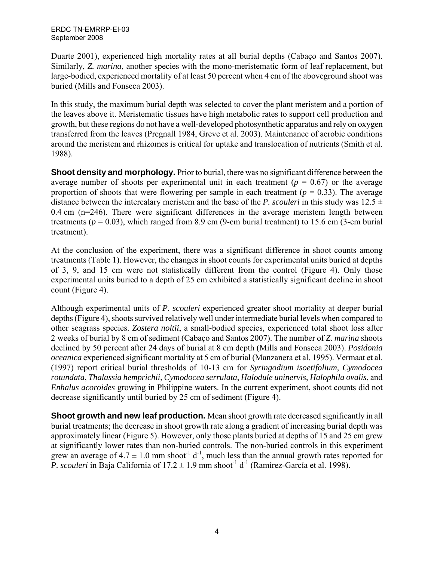Duarte 2001), experienced high mortality rates at all burial depths (Cabaço and Santos 2007). Similarly, *Z. marina*, another species with the mono-meristematic form of leaf replacement, but large-bodied, experienced mortality of at least 50 percent when 4 cm of the aboveground shoot was buried (Mills and Fonseca 2003).

In this study, the maximum burial depth was selected to cover the plant meristem and a portion of the leaves above it. Meristematic tissues have high metabolic rates to support cell production and growth, but these regions do not have a well-developed photosynthetic apparatus and rely on oxygen transferred from the leaves (Pregnall 1984, Greve et al. 2003). Maintenance of aerobic conditions around the meristem and rhizomes is critical for uptake and translocation of nutrients (Smith et al. 1988).

**Shoot density and morphology.** Prior to burial, there was no significant difference between the average number of shoots per experimental unit in each treatment  $(p = 0.67)$  or the average proportion of shoots that were flowering per sample in each treatment ( $p = 0.33$ ). The average distance between the intercalary meristem and the base of the *P. scouleri* in this study was  $12.5 \pm 1$ 0.4 cm (n=246). There were significant differences in the average meristem length between treatments ( $p = 0.03$ ), which ranged from 8.9 cm (9-cm burial treatment) to 15.6 cm (3-cm burial treatment).

At the conclusion of the experiment, there was a significant difference in shoot counts among treatments (Table 1). However, the changes in shoot counts for experimental units buried at depths of 3, 9, and 15 cm were not statistically different from the control (Figure 4). Only those experimental units buried to a depth of 25 cm exhibited a statistically significant decline in shoot count (Figure 4).

Although experimental units of *P. scouleri* experienced greater shoot mortality at deeper burial depths (Figure 4), shoots survived relatively well under intermediate burial levels when compared to other seagrass species. *Zostera noltii*, a small-bodied species, experienced total shoot loss after 2 weeks of burial by 8 cm of sediment (Cabaço and Santos 2007). The number of *Z. marina* shoots declined by 50 percent after 24 days of burial at 8 cm depth (Mills and Fonseca 2003). *Posidonia oceanica* experienced significant mortality at 5 cm of burial (Manzanera et al. 1995). Vermaat et al. (1997) report critical burial thresholds of 10-13 cm for *Syringodium isoetifolium*, *Cymodocea rotundata*, *Thalassia hemprichii*, *Cymodocea serrulata*, *Halodule uninervis*, *Halophila ovalis*, and *Enhalus acoroides* growing in Philippine waters. In the current experiment, shoot counts did not decrease significantly until buried by 25 cm of sediment (Figure 4).

**Shoot growth and new leaf production.** Mean shoot growth rate decreased significantly in all burial treatments; the decrease in shoot growth rate along a gradient of increasing burial depth was approximately linear (Figure 5). However, only those plants buried at depths of 15 and 25 cm grew at significantly lower rates than non-buried controls. The non-buried controls in this experiment grew an average of  $4.7 \pm 1.0$  mm shoot<sup>-1</sup> d<sup>-1</sup>, much less than the annual growth rates reported for *P. scouleri* in Baja California of  $17.2 \pm 1.9$  mm shoot<sup>-1</sup> d<sup>-1</sup> ([Ramírez-García](http://www.sciencedirect.com.offcampus.lib.washington.edu/science?_ob=ArticleURL&_udi=B6T4F-452RCFX-2&_user=582538&_coverDate=02%2F28%2F2002&_rdoc=1&_fmt=&_orig=search&_sort=d&view=c&_acct=C000029718&_version=1&_urlVersion=0&_userid=582538&md5=ec9d7856dd3f0d0563bb4acdfc2a85f6#bbib31) et al. 1998).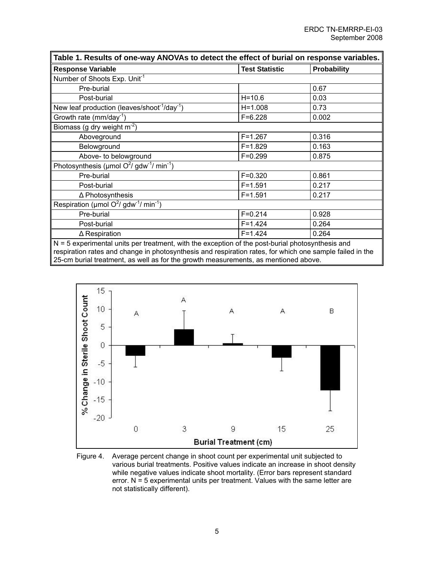| Table 1. Results of one-way ANOVAs to detect the effect of burial on response variables.           |                       |             |
|----------------------------------------------------------------------------------------------------|-----------------------|-------------|
| <b>Response Variable</b>                                                                           | <b>Test Statistic</b> | Probability |
| Number of Shoots Exp. Unit <sup>-1</sup>                                                           |                       |             |
| Pre-burial                                                                                         |                       | 0.67        |
| Post-burial                                                                                        | $H = 10.6$            | 0.03        |
| New leaf production (leaves/shoot <sup>-1</sup> /day <sup>-1</sup> )                               | $H = 1.008$           | 0.73        |
| Growth rate ( $mm/day^{-1}$ )                                                                      | $F = 6.228$           | 0.002       |
| Biomass (g dry weight $m^{-2}$ )                                                                   |                       |             |
| Aboveground                                                                                        | $F = 1.267$           | 0.316       |
| Belowground                                                                                        | $F = 1.829$           | 0.163       |
| Above- to belowground                                                                              | $F = 0.299$           | 0.875       |
| Photosynthesis ( $\mu$ mol O <sup>2</sup> / gdw <sup>-1</sup> / min <sup>-1</sup> )                |                       |             |
| Pre-burial                                                                                         | $F = 0.320$           | 0.861       |
| Post-burial                                                                                        | $F = 1.591$           | 0.217       |
| $\Delta$ Photosynthesis                                                                            | $F = 1.591$           | 0.217       |
| Respiration (µmol $O^2$ / gdw <sup>-1</sup> / min <sup>-1</sup> )                                  |                       |             |
| Pre-burial                                                                                         | $F = 0.214$           | 0.928       |
| Post-burial                                                                                        | $F = 1.424$           | 0.264       |
| $\Delta$ Respiration                                                                               | $F = 1.424$           | 0.264       |
| $N = 5$ experimental units per treatment, with the exception of the post-burial photosynthesis and |                       |             |

respiration rates and change in photosynthesis and respiration rates, for which one sample failed in the 25-cm burial treatment, as well as for the growth measurements, as mentioned above.



Figure 4. Average percent change in shoot count per experimental unit subjected to various burial treatments. Positive values indicate an increase in shoot density while negative values indicate shoot mortality. (Error bars represent standard error.  $N = 5$  experimental units per treatment. Values with the same letter are not statistically different).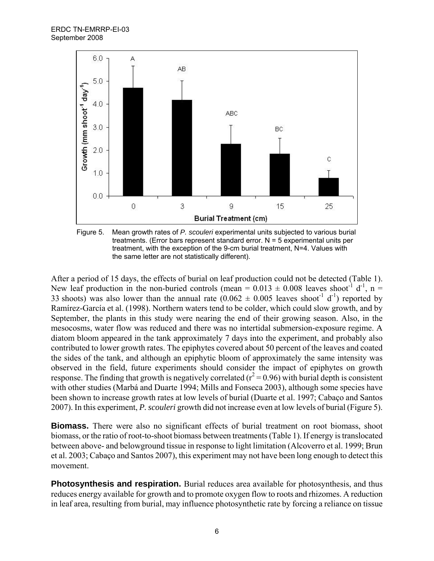



After a period of 15 days, the effects of burial on leaf production could not be detected (Table 1). New leaf production in the non-buried controls (mean =  $0.013 \pm 0.008$  leaves shoot<sup>-1</sup> d<sup>-1</sup>, n = 33 shoots) was also lower than the annual rate  $(0.062 \pm 0.005$  leaves shoot<sup>1</sup> d<sup>-1</sup>) reported by [Ramírez-García](http://www.sciencedirect.com.offcampus.lib.washington.edu/science?_ob=ArticleURL&_udi=B6T4F-452RCFX-2&_user=582538&_coverDate=02%2F28%2F2002&_rdoc=1&_fmt=&_orig=search&_sort=d&view=c&_acct=C000029718&_version=1&_urlVersion=0&_userid=582538&md5=ec9d7856dd3f0d0563bb4acdfc2a85f6#bbib31) et al. (1998). Northern waters tend to be colder, which could slow growth, and by September, the plants in this study were nearing the end of their growing season. Also, in the mesocosms, water flow was reduced and there was no intertidal submersion-exposure regime. A diatom bloom appeared in the tank approximately 7 days into the experiment, and probably also contributed to lower growth rates. The epiphytes covered about 50 percent of the leaves and coated the sides of the tank, and although an epiphytic bloom of approximately the same intensity was observed in the field, future experiments should consider the impact of epiphytes on growth response. The finding that growth is negatively correlated ( $r^2$  = 0.96) with burial depth is consistent with other studies (Marbá and Duarte 1994; Mills and Fonseca 2003), although some species have been shown to increase growth rates at low levels of burial (Duarte et al. 1997; Cabaço and Santos 2007). In this experiment, *P. scouleri* growth did not increase even at low levels of burial (Figure 5).

**Biomass.** There were also no significant effects of burial treatment on root biomass, shoot biomass, or the ratio of root-to-shoot biomass between treatments (Table 1). If energy is translocated between above- and belowground tissue in response to light limitation (Alcoverro et al. 1999; Brun et al. 2003; Cabaço and Santos 2007), this experiment may not have been long enough to detect this movement.

**Photosynthesis and respiration.** Burial reduces area available for photosynthesis, and thus reduces energy available for growth and to promote oxygen flow to roots and rhizomes. A reduction in leaf area, resulting from burial, may influence photosynthetic rate by forcing a reliance on tissue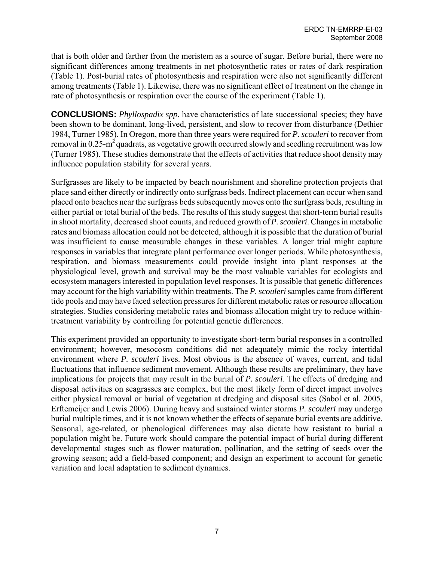that is both older and farther from the meristem as a source of sugar. Before burial, there were no significant differences among treatments in net photosynthetic rates or rates of dark respiration (Table 1). Post-burial rates of photosynthesis and respiration were also not significantly different among treatments (Table 1). Likewise, there was no significant effect of treatment on the change in rate of photosynthesis or respiration over the course of the experiment (Table 1).

**CONCLUSIONS:** *Phyllospadix spp*. have characteristics of late successional species; they have been shown to be dominant, long-lived, persistent, and slow to recover from disturbance (Dethier 1984, Turner 1985). In Oregon, more than three years were required for *P*. *scouleri* to recover from removal in 0.25-m<sup>2</sup> quadrats, as vegetative growth occurred slowly and seedling recruitment was low (Turner 1985). These studies demonstrate that the effects of activities that reduce shoot density may influence population stability for several years.

Surfgrasses are likely to be impacted by beach nourishment and shoreline protection projects that place sand either directly or indirectly onto surfgrass beds. Indirect placement can occur when sand placed onto beaches near the surfgrass beds subsequently moves onto the surfgrass beds, resulting in either partial or total burial of the beds. The results of this study suggest that short-term burial results in shoot mortality, decreased shoot counts, and reduced growth of *P. scouleri*. Changes in metabolic rates and biomass allocation could not be detected, although it is possible that the duration of burial was insufficient to cause measurable changes in these variables. A longer trial might capture responses in variables that integrate plant performance over longer periods. While photosynthesis, respiration, and biomass measurements could provide insight into plant responses at the physiological level, growth and survival may be the most valuable variables for ecologists and ecosystem managers interested in population level responses. It is possible that genetic differences may account for the high variability within treatments. The *P. scouleri* samples came from different tide pools and may have faced selection pressures for different metabolic rates or resource allocation strategies. Studies considering metabolic rates and biomass allocation might try to reduce withintreatment variability by controlling for potential genetic differences.

This experiment provided an opportunity to investigate short-term burial responses in a controlled environment; however, mesocosm conditions did not adequately mimic the rocky intertidal environment where *P. scouleri* lives. Most obvious is the absence of waves, current, and tidal fluctuations that influence sediment movement. Although these results are preliminary, they have implications for projects that may result in the burial of *P. scouleri*. The effects of dredging and disposal activities on seagrasses are complex, but the most likely form of direct impact involves either physical removal or burial of vegetation at dredging and disposal sites (Sabol et al. 2005, Erftemeijer and Lewis 2006). During heavy and sustained winter storms *P. scouleri* may undergo burial multiple times, and it is not known whether the effects of separate burial events are additive. Seasonal, age-related, or phenological differences may also dictate how resistant to burial a population might be. Future work should compare the potential impact of burial during different developmental stages such as flower maturation, pollination, and the setting of seeds over the growing season; add a field-based component; and design an experiment to account for genetic variation and local adaptation to sediment dynamics.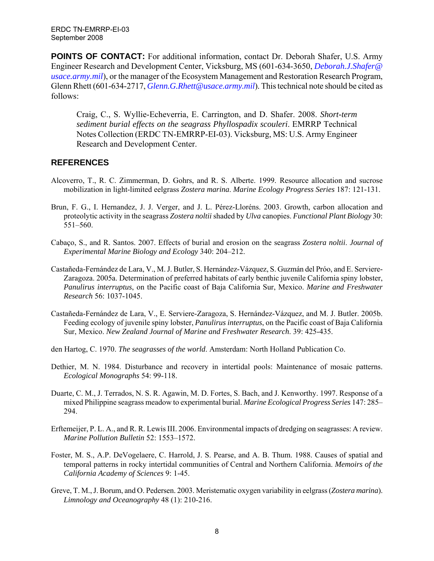**POINTS OF CONTACT:** For additional information, contact Dr. Deborah Shafer, U.S. Army Engineer Research and Development Center, Vicksburg, MS (601-634-3650, *[Deborah.J.Shafer@](mailto:Deborah.J.Shafer@%20usace.army.mil)  [usace.army.mil](mailto:Deborah.J.Shafer@%20usace.army.mil)*), or the manager of the Ecosystem Management and Restoration Research Program, Glenn Rhett (601-634-2717, *[Glenn.G.Rhett@usace.army.mil](mailto:Glenn.G.Rhett@usace.army.mil)*). This technical note should be cited as follows:

Craig, C., S. Wyllie-Echeverria, E. Carrington, and D. Shafer. 2008. *Short-term sediment burial effects on the seagrass Phyllospadix scouleri*. EMRRP Technical Notes Collection (ERDC TN-EMRRP-EI-03). Vicksburg, MS: U.S. Army Engineer Research and Development Center.

## **REFERENCES**

- Alcoverro, T., R. C. Zimmerman, D. Gohrs, and R. S. Alberte. 1999. Resource allocation and sucrose mobilization in light-limited eelgrass *Zostera marina*. *Marine Ecology Progress Series* 187: 121-131.
- Brun, F. G., I. Hernandez, J. J. Verger, and J. L. Pérez-Lloréns. 2003. Growth, carbon allocation and proteolytic activity in the seagrass *Zostera noltii* shaded by *Ulva* canopies. *Functional Plant Biology* 30: 551–560.
- Cabaço, S., and R. Santos. 2007. Effects of burial and erosion on the seagrass *Zostera noltii*. *Journal of Experimental Marine Biology and Ecology* 340: 204–212.
- Castañeda-Fernández de Lara, V., M. J. Butler, S. Hernández-Vázquez, S. Guzmán del Próo, and E. Serviere-Zaragoza. 2005a. Determination of preferred habitats of early benthic juvenile California spiny lobster, *Panulirus interruptus*, on the Pacific coast of Baja California Sur, Mexico. *Marine and Freshwater Research* 56: 1037-1045.
- Castañeda-Fernández de Lara, V., E. Serviere-Zaragoza, S. Hernández-Vázquez, and M. J. Butler. 2005b. Feeding ecology of juvenile spiny lobster, *Panulirus interruptus*, on the Pacific coast of Baja California Sur, Mexico. *New Zealand Journal of Marine and Freshwater Research*. 39: 425-435.
- den Hartog, C. 1970. *The seagrasses of the world*. Amsterdam: North Holland Publication Co.
- Dethier, M. N. 1984. Disturbance and recovery in intertidal pools: Maintenance of mosaic patterns. *Ecological Monographs* 54: 99-118.
- Duarte, C. M., J. Terrados, N. S. R. Agawin, M. D. Fortes, S. Bach, and J. Kenworthy. 1997. Response of a mixed Philippine seagrass meadow to experimental burial. *Marine Ecological Progress Series* 147: 285– 294.
- Erftemeijer, P. L. A., and R. R. Lewis III. 2006. Environmental impacts of dredging on seagrasses: A review. *Marine Pollution Bulletin* 52: 1553–1572.
- Foster, M. S., A.P. DeVogelaere, C. Harrold, J. S. Pearse, and A. B. Thum. 1988. Causes of spatial and temporal patterns in rocky intertidal communities of Central and Northern California. *Memoirs of the California Academy of Sciences* 9: 1-45.
- Greve, T. M., J. Borum, and O. Pedersen. 2003. Meristematic oxygen variability in eelgrass (*Zostera marina*). *Limnology and Oceanography* 48 (1): 210-216.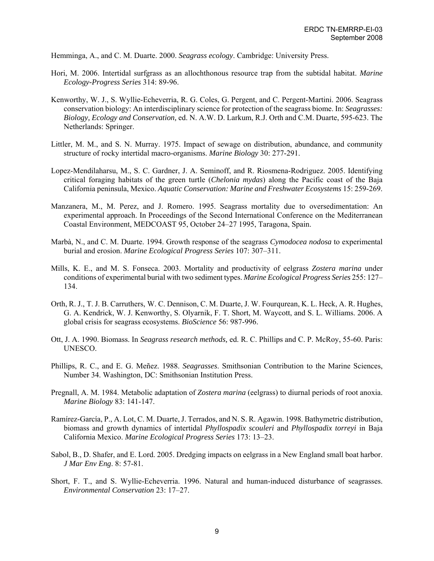Hemminga, A., and C. M. Duarte. 2000. *Seagrass ecology*. Cambridge: University Press.

- Hori, M. 2006. Intertidal surfgrass as an allochthonous resource trap from the subtidal habitat. *Marine Ecology-Progress Series* 314: 89-96.
- Kenworthy, W. J., S. Wyllie-Echeverria, R. G. Coles, G. Pergent, and C. Pergent-Martini. 2006. Seagrass conservation biology: An interdisciplinary science for protection of the seagrass biome. In: *Seagrasses: Biology, Ecology and Conservation,* ed. N. A.W. D. Larkum, R.J. Orth and C.M. Duarte, 595-623. The Netherlands: Springer.
- Littler, M. M., and S. N. Murray. 1975. Impact of sewage on distribution, abundance, and community structure of rocky intertidal macro-organisms. *Marine Biology* 30: 277-291.
- Lopez-Mendilaharsu, M., S. C. Gardner, J. A. Seminoff, and R. Riosmena-Rodriguez. 2005. Identifying critical foraging habitats of the green turtle (*Chelonia mydas*) along the Pacific coast of the Baja California peninsula, Mexico. *Aquatic Conservation: Marine and Freshwater Ecosystems* 15: 259-269.
- Manzanera, M., M. Perez, and J. Romero. 1995. Seagrass mortality due to oversedimentation: An experimental approach. In Proceedings of the Second International Conference on the Mediterranean Coastal Environment, MEDCOAST 95, October 24–27 1995, Taragona, Spain.
- Marbà, N., and C. M. Duarte. 1994. Growth response of the seagrass *Cymodocea nodosa* to experimental burial and erosion. *Marine Ecological Progress Series* 107: 307–311.
- Mills, K. E., and M. S. Fonseca. 2003. Mortality and productivity of eelgrass *Zostera marina* under conditions of experimental burial with two sediment types. *Marine Ecological Progress Series* 255: 127– 134.
- Orth, R. J., T. J. B. Carruthers, W. C. Dennison, C. M. Duarte, J. W. Fourqurean, K. L. Heck, A. R. Hughes, G. A. Kendrick, W. J. Kenworthy, S. Olyarnik, F. T. Short, M. Waycott, and S. L. Williams. 2006. A global crisis for seagrass ecosystems. *BioScience* 56: 987-996.
- Ott, J. A. 1990. Biomass. In *Seagrass research methods,* ed. R. C. Phillips and C. P. McRoy, 55-60. Paris: UNESCO.
- Phillips, R. C., and E. G. Meñez. 1988. *Seagrasses*. Smithsonian Contribution to the Marine Sciences, Number 34. Washington, DC: Smithsonian Institution Press.
- Pregnall, A. M. 1984. Metabolic adaptation of *Zostera marina* (eelgrass) to diurnal periods of root anoxia. *Marine Biology* 83: 141-147.
- [Ramírez-García,](http://www.sciencedirect.com.offcampus.lib.washington.edu/science?_ob=ArticleURL&_udi=B6T4F-452RCFX-2&_user=582538&_coverDate=02%2F28%2F2002&_rdoc=1&_fmt=&_orig=search&_sort=d&view=c&_acct=C000029718&_version=1&_urlVersion=0&_userid=582538&md5=ec9d7856dd3f0d0563bb4acdfc2a85f6#bbib31) P., A. Lot, C. M. Duarte, J. Terrados, and N. S. R. Agawin. 1998. Bathymetric distribution, biomass and growth dynamics of intertidal *Phyllospadix scouleri* and *Phyllospadix torreyi* in Baja California Mexico. *Marine Ecological Progress Series* 173: 13–23.
- Sabol, B., D. Shafer, and E. Lord. 2005. Dredging impacts on eelgrass in a New England small boat harbor. *J Mar Env Eng*. 8: 57-81.
- Short, F. T., and S. Wyllie-Echeverria. 1996. Natural and human-induced disturbance of seagrasses. *Environmental Conservation* 23: 17–27.